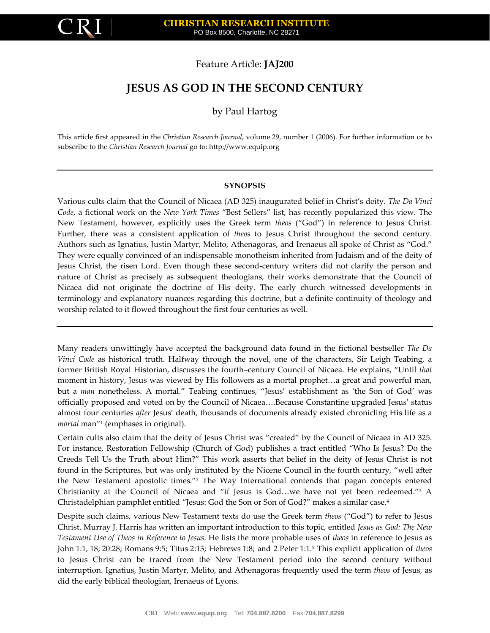

Feature Article: **JAJ200**

# **JESUS AS GOD IN THE SECOND CENTURY**

# by Paul Hartog

This article first appeared in the *Christian Research Journal*, volume 29, number 1 (2006). For further information or to subscribe to the *Christian Research Journal* go to: http://www.equip.org

#### **SYNOPSIS**

Various cults claim that the Council of Nicaea (AD 325) inaugurated belief in Christ's deity. *The Da Vinci Code*, a fictional work on the *New York Times* "Best Sellers" list, has recently popularized this view. The New Testament, however, explicitly uses the Greek term *theos* ("God") in reference to Jesus Christ. Further, there was a consistent application of *theos* to Jesus Christ throughout the second century. Authors such as Ignatius, Justin Martyr, Melito, Athenagoras, and Irenaeus all spoke of Christ as "God." They were equally convinced of an indispensable monotheism inherited from Judaism and of the deity of Jesus Christ, the risen Lord. Even though these second-century writers did not clarify the person and nature of Christ as precisely as subsequent theologians, their works demonstrate that the Council of Nicaea did not originate the doctrine of His deity. The early church witnessed developments in terminology and explanatory nuances regarding this doctrine, but a definite continuity of theology and worship related to it flowed throughout the first four centuries as well.

Many readers unwittingly have accepted the background data found in the fictional bestseller *The Da Vinci Code* as historical truth. Halfway through the novel, one of the characters, Sir Leigh Teabing, a former British Royal Historian, discusses the fourth–century Council of Nicaea. He explains, "Until *that* moment in history, Jesus was viewed by His followers as a mortal prophet…a great and powerful man, but a *man* nonetheless. A mortal." Teabing continues, "Jesus' establishment as 'the Son of God' was officially proposed and voted on by the Council of Nicaea….Because Constantine upgraded Jesus' status almost four centuries *after* Jesus' death, thousands of documents already existed chronicling His life as a *mortal* man"<sup>1</sup> (emphases in original).

Certain cults also claim that the deity of Jesus Christ was "created" by the Council of Nicaea in AD 325. For instance, Restoration Fellowship (Church of God) publishes a tract entitled "Who Is Jesus? Do the Creeds Tell Us the Truth about Him?" This work asserts that belief in the deity of Jesus Christ is not found in the Scriptures, but was only instituted by the Nicene Council in the fourth century, "well after the New Testament apostolic times."<sup>2</sup> The Way International contends that pagan concepts entered Christianity at the Council of Nicaea and "if Jesus is God…we have not yet been redeemed."<sup>3</sup> A Christadelphian pamphlet entitled "Jesus: God the Son or Son of God?" makes a similar case.<sup>4</sup>

Despite such claims, various New Testament texts do use the Greek term *theos* ("God") to refer to Jesus Christ. Murray J. Harris has written an important introduction to this topic, entitled *Jesus as God: The New Testament Use of Theos in Reference to Jesus*. He lists the more probable uses of *theos* in reference to Jesus as John 1:1, 18; 20:28; Romans 9:5; Titus 2:13; Hebrews 1:8; and 2 Peter 1:1.<sup>5</sup> This explicit application of *theos* to Jesus Christ can be traced from the New Testament period into the second century without interruption. Ignatius, Justin Martyr, Melito, and Athenagoras frequently used the term *theos* of Jesus, as did the early biblical theologian, Irenaeus of Lyons.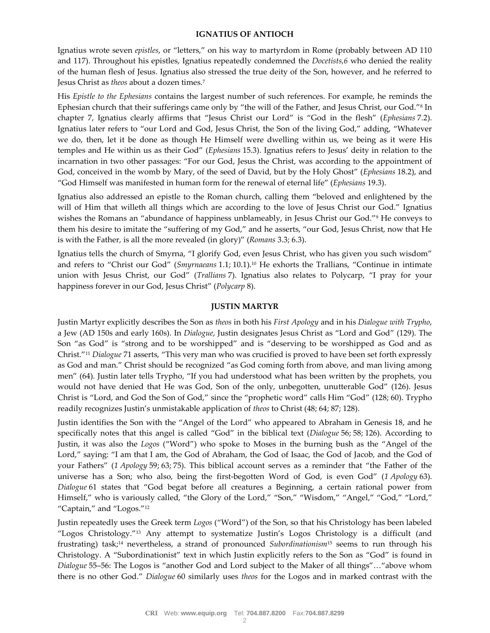## **IGNATIUS OF ANTIOCH**

Ignatius wrote seven *epistles*, or "letters," on his way to martyrdom in Rome (probably between AD 110 and 117). Throughout his epistles, Ignatius repeatedly condemned the *Docetists,6* who denied the reality of the human flesh of Jesus. Ignatius also stressed the true deity of the Son, however, and he referred to Jesus Christ as *theos* about a dozen times.<sup>7</sup>

His *Epistle to the Ephesians* contains the largest number of such references. For example, he reminds the Ephesian church that their sufferings came only by "the will of the Father, and Jesus Christ, our God."<sup>8</sup> In chapter 7, Ignatius clearly affirms that "Jesus Christ our Lord" is "God in the flesh" (*Ephesians* 7.2). Ignatius later refers to "our Lord and God, Jesus Christ, the Son of the living God," adding, "Whatever we do, then, let it be done as though He Himself were dwelling within us, we being as it were His temples and He within us as their God" (*Ephesians* 15.3). Ignatius refers to Jesus' deity in relation to the incarnation in two other passages: "For our God, Jesus the Christ, was according to the appointment of God, conceived in the womb by Mary, of the seed of David, but by the Holy Ghost" (*Ephesians* 18.2), and "God Himself was manifested in human form for the renewal of eternal life" (*Ephesians* 19.3).

Ignatius also addressed an epistle to the Roman church, calling them "beloved and enlightened by the will of Him that willeth all things which are according to the love of Jesus Christ our God." Ignatius wishes the Romans an "abundance of happiness unblameably, in Jesus Christ our God."<sup>9</sup> He conveys to them his desire to imitate the "suffering of my God," and he asserts, "our God, Jesus Christ, now that He is with the Father, is all the more revealed (in glory)" (*Romans* 3.3; 6.3).

Ignatius tells the church of Smyrna, "I glorify God, even Jesus Christ, who has given you such wisdom" and refers to "Christ our God" (*Smyrnaeans* 1.1; 10.1).<sup>10</sup> He exhorts the Trallians, "Continue in intimate union with Jesus Christ, our God" (*Trallians* 7). Ignatius also relates to Polycarp, "I pray for your happiness forever in our God, Jesus Christ" (*Polycarp* 8).

## **JUSTIN MARTYR**

Justin Martyr explicitly describes the Son as *theos* in both his *First Apology* and in his *Dialogue with Trypho*, a Jew (AD 150s and early 160s). In *Dialogue*, Justin designates Jesus Christ as "Lord and God" (129). The Son "as God" is "strong and to be worshipped" and is "deserving to be worshipped as God and as Christ."<sup>11</sup> *Dialogue* 71 asserts, "This very man who was crucified is proved to have been set forth expressly as God and man." Christ should be recognized "as God coming forth from above, and man living among men" (64). Justin later tells Trypho, "If you had understood what has been written by the prophets, you would not have denied that He was God, Son of the only, unbegotten, unutterable God" (126). Jesus Christ is "Lord, and God the Son of God," since the "prophetic word" calls Him "God" (128; 60). Trypho readily recognizes Justin's unmistakable application of *theos* to Christ (48; 64; 87; 128).

Justin identifies the Son with the "Angel of the Lord" who appeared to Abraham in Genesis 18, and he specifically notes that this angel is called "God" in the biblical text (*Dialogue* 56; 58; 126). According to Justin, it was also the *Logos* ("Word") who spoke to Moses in the burning bush as the "Angel of the Lord," saying: "I am that I am, the God of Abraham, the God of Isaac, the God of Jacob, and the God of your Fathers" (*1 Apology* 59; 63; 75). This biblical account serves as a reminder that "the Father of the universe has a Son; who also, being the first-begotten Word of God, is even God" (*1 Apology* 63). *Dialogue* 61 states that "God begat before all creatures a Beginning, a certain rational power from Himself," who is variously called, "the Glory of the Lord," "Son," "Wisdom," "Angel," "God," "Lord," "Captain," and "Logos."<sup>12</sup>

Justin repeatedly uses the Greek term *Logos* ("Word") of the Son, so that his Christology has been labeled "Logos Christology."<sup>13</sup> Any attempt to systematize Justin's Logos Christology is a difficult (and frustrating) task;<sup>14</sup> nevertheless, a strand of pronounced *Subordinationism*<sup>15</sup> seems to run through his Christology. A "Subordinationist" text in which Justin explicitly refers to the Son as "God" is found in *Dialogue* 55–56: The Logos is "another God and Lord subject to the Maker of all things"…"above whom there is no other God." *Dialogue* 60 similarly uses *theos* for the Logos and in marked contrast with the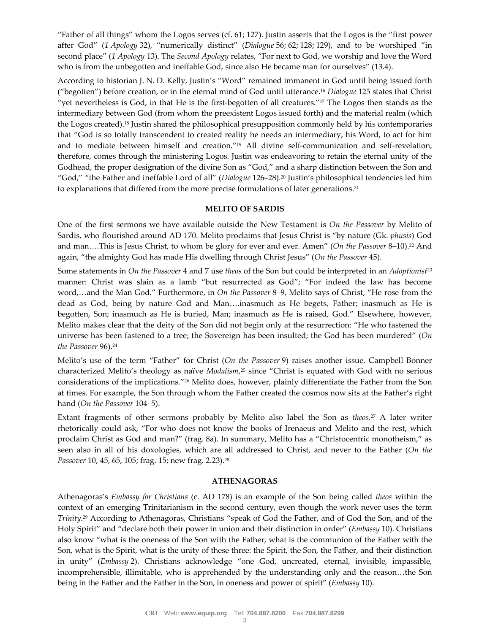"Father of all things" whom the Logos serves (cf. 61; 127). Justin asserts that the Logos is the "first power after God" (*1 Apology* 32), "numerically distinct" (*Dialogue* 56; 62; 128; 129), and to be worshiped "in second place" (*1 Apology* 13). The *Second Apology* relates, "For next to God, we worship and love the Word who is from the unbegotten and ineffable God, since also He became man for ourselves" (13.4).

According to historian J. N. D. Kelly, Justin's "Word" remained immanent in God until being issued forth ("begotten") before creation, or in the eternal mind of God until utterance.<sup>16</sup> *Dialogue* 125 states that Christ "yet nevertheless is God, in that He is the first-begotten of all creatures."<sup>17</sup> The Logos then stands as the intermediary between God (from whom the preexistent Logos issued forth) and the material realm (which the Logos created).<sup>18</sup> Justin shared the philosophical presupposition commonly held by his contemporaries that "God is so totally transcendent to created reality he needs an intermediary, his Word, to act for him and to mediate between himself and creation."<sup>19</sup> All divine self-communication and self-revelation, therefore, comes through the ministering Logos. Justin was endeavoring to retain the eternal unity of the Godhead, the proper designation of the divine Son as "God," and a sharp distinction between the Son and "God," "the Father and ineffable Lord of all" (*Dialogue* 126–28).<sup>20</sup> Justin's philosophical tendencies led him to explanations that differed from the more precise formulations of later generations.<sup>21</sup>

#### **MELITO OF SARDIS**

One of the first sermons we have available outside the New Testament is *On the Passover* by Melito of Sardis, who flourished around AD 170. Melito proclaims that Jesus Christ is "by nature (Gk. *phusis*) God and man....This is Jesus Christ, to whom be glory for ever and ever. Amen" (On the Passover 8–10).<sup>22</sup> And again, "the almighty God has made His dwelling through Christ Jesus" (*On the Passover* 45).

Some statements in *On the Passover* 4 and 7 use *theos* of the Son but could be interpreted in an *Adoptionist*<sup>23</sup> manner: Christ was slain as a lamb "but resurrected as God"; "For indeed the law has become word,…and the Man God." Furthermore, in *On the Passover* 8–9, Melito says of Christ, "He rose from the dead as God, being by nature God and Man….inasmuch as He begets, Father; inasmuch as He is begotten, Son; inasmuch as He is buried, Man; inasmuch as He is raised, God." Elsewhere, however, Melito makes clear that the deity of the Son did not begin only at the resurrection: "He who fastened the universe has been fastened to a tree; the Sovereign has been insulted; the God has been murdered" (*On the Passover* 96).<sup>24</sup>

Melito's use of the term "Father" for Christ (*On the Passover* 9) raises another issue. Campbell Bonner characterized Melito's theology as naïve *Modalism*, <sup>25</sup> since "Christ is equated with God with no serious considerations of the implications."<sup>26</sup> Melito does, however, plainly differentiate the Father from the Son at times. For example, the Son through whom the Father created the cosmos now sits at the Father's right hand (*On the Passover* 104–5).

Extant fragments of other sermons probably by Melito also label the Son as *theos*. <sup>27</sup> A later writer rhetorically could ask, "For who does not know the books of Irenaeus and Melito and the rest, which proclaim Christ as God and man?" (frag. 8a). In summary, Melito has a "Christocentric monotheism," as seen also in all of his doxologies, which are all addressed to Christ, and never to the Father (*On the* Passover 10, 45, 65, 105; frag. 15; new frag. 2.23).<sup>28</sup>

#### **ATHENAGORAS**

Athenagoras's *Embassy for Christians* (c. AD 178) is an example of the Son being called *theos* within the context of an emerging Trinitarianism in the second century, even though the work never uses the term *Trinity*. <sup>29</sup> According to Athenagoras, Christians "speak of God the Father, and of God the Son, and of the Holy Spirit" and "declare both their power in union and their distinction in order" (*Embassy* 10). Christians also know "what is the oneness of the Son with the Father, what is the communion of the Father with the Son, what is the Spirit, what is the unity of these three: the Spirit, the Son, the Father, and their distinction in unity" (*Embassy* 2). Christians acknowledge "one God, uncreated, eternal, invisible, impassible, incomprehensible, illimitable, who is apprehended by the understanding only and the reason…the Son being in the Father and the Father in the Son, in oneness and power of spirit" (*Embassy* 10).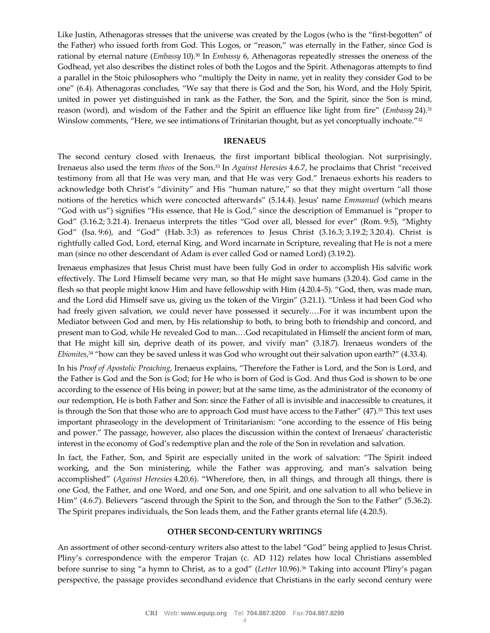Like Justin, Athenagoras stresses that the universe was created by the Logos (who is the "first-begotten" of the Father) who issued forth from God. This Logos, or "reason," was eternally in the Father, since God is rational by eternal nature (*Embassy* 10).<sup>30</sup> In *Embassy* 6, Athenagoras repeatedly stresses the oneness of the Godhead, yet also describes the distinct roles of both the Logos and the Spirit. Athenagoras attempts to find a parallel in the Stoic philosophers who "multiply the Deity in name, yet in reality they consider God to be one" (6.4). Athenagoras concludes, "We say that there is God and the Son, his Word, and the Holy Spirit, united in power yet distinguished in rank as the Father, the Son, and the Spirit, since the Son is mind, reason (word), and wisdom of the Father and the Spirit an effluence like light from fire" (*Embassy* 24).<sup>31</sup> Winslow comments, "Here, we see intimations of Trinitarian thought, but as yet conceptually inchoate."<sup>32</sup>

#### **IRENAEUS**

The second century closed with Irenaeus, the first important biblical theologian. Not surprisingly, Irenaeus also used the term *theos* of the Son.<sup>33</sup> In *Against Heresies* 4.6.7, he proclaims that Christ "received testimony from all that He was very man, and that He was very God." Irenaeus exhorts his readers to acknowledge both Christ's "divinity" and His "human nature," so that they might overturn "all those notions of the heretics which were concocted afterwards" (5.14.4). Jesus' name *Emmanuel* (which means "God with us") signifies "His essence, that He is God," since the description of Emmanuel is "proper to God" (3.16.2; 3.21.4). Irenaeus interprets the titles "God over all, blessed for ever" (Rom. 9:5), "Mighty God" (Isa. 9:6), and "God" (Hab. 3:3) as references to Jesus Christ (3.16.3; 3.19.2; 3.20.4). Christ is rightfully called God, Lord, eternal King, and Word incarnate in Scripture, revealing that He is not a mere man (since no other descendant of Adam is ever called God or named Lord) (3.19.2).

Irenaeus emphasizes that Jesus Christ must have been fully God in order to accomplish His salvific work effectively. The Lord Himself became very man, so that He might save humans (3.20.4). God came in the flesh so that people might know Him and have fellowship with Him (4.20.4–5). "God, then, was made man, and the Lord did Himself save us, giving us the token of the Virgin" (3.21.1). "Unless it had been God who had freely given salvation, we could never have possessed it securely.…For it was incumbent upon the Mediator between God and men, by His relationship to both, to bring both to friendship and concord, and present man to God, while He revealed God to man.…God recapitulated in Himself the ancient form of man, that He might kill sin, deprive death of its power, and vivify man" (3.18.7). Irenaeus wonders of the *Ebionites*, <sup>34</sup> "how can they be saved unless it was God who wrought out their salvation upon earth?" (4.33.4).

In his *Proof of Apostolic Preaching*, Irenaeus explains, "Therefore the Father is Lord, and the Son is Lord, and the Father is God and the Son is God; for He who is born of God is God. And thus God is shown to be one according to the essence of His being in power; but at the same time, as the administrator of the economy of our redemption, He is both Father and Son: since the Father of all is invisible and inaccessible to creatures, it is through the Son that those who are to approach God must have access to the Father" (47).<sup>35</sup> This text uses important phraseology in the development of Trinitarianism: "one according to the essence of His being and power." The passage, however, also places the discussion within the context of Irenaeus' characteristic interest in the economy of God's redemptive plan and the role of the Son in revelation and salvation.

In fact, the Father, Son, and Spirit are especially united in the work of salvation: "The Spirit indeed working, and the Son ministering, while the Father was approving, and man's salvation being accomplished" (*Against Heresies* 4.20.6). "Wherefore, then, in all things, and through all things, there is one God, the Father, and one Word, and one Son, and one Spirit, and one salvation to all who believe in Him" (4.6.7). Believers "ascend through the Spirit to the Son, and through the Son to the Father" (5.36.2). The Spirit prepares individuals, the Son leads them, and the Father grants eternal life (4.20.5).

#### **OTHER SECOND-CENTURY WRITINGS**

An assortment of other second-century writers also attest to the label "God" being applied to Jesus Christ. Pliny's correspondence with the emperor Trajan (c. AD 112) relates how local Christians assembled before sunrise to sing "a hymn to Christ, as to a god" (*Letter* 10.96).<sup>36</sup> Taking into account Pliny's pagan perspective, the passage provides secondhand evidence that Christians in the early second century were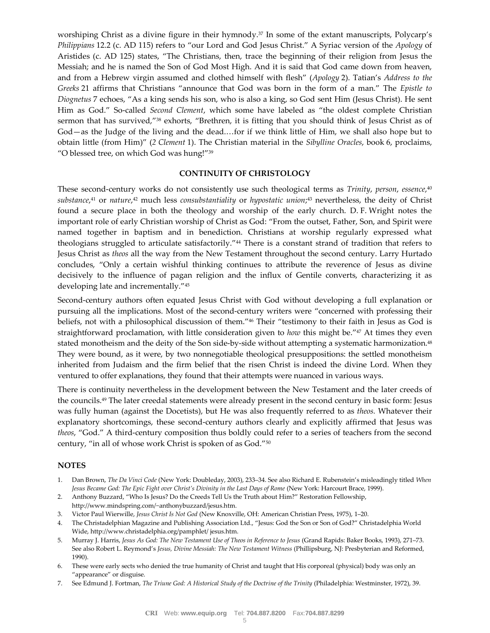worshiping Christ as a divine figure in their hymnody.<sup>37</sup> In some of the extant manuscripts, Polycarp's *Philippians* 12.2 (c. AD 115) refers to "our Lord and God Jesus Christ." A Syriac version of the *Apology* of Aristides (c. AD 125) states, "The Christians, then, trace the beginning of their religion from Jesus the Messiah; and he is named the Son of God Most High. And it is said that God came down from heaven, and from a Hebrew virgin assumed and clothed himself with flesh" (*Apology* 2). Tatian's *Address to the Greeks* 21 affirms that Christians "announce that God was born in the form of a man." The *Epistle to Diognetus* 7 echoes, "As a king sends his son, who is also a king, so God sent Him (Jesus Christ). He sent Him as God." So-called *Second Clement*, which some have labeled as "the oldest complete Christian sermon that has survived,"<sup>38</sup> exhorts, "Brethren, it is fitting that you should think of Jesus Christ as of God—as the Judge of the living and the dead.…for if we think little of Him, we shall also hope but to obtain little (from Him)" (*2 Clement* 1). The Christian material in the *Sibylline Oracles*, book 6, proclaims, "O blessed tree, on which God was hung!"<sup>39</sup>

#### **CONTINUITY OF CHRISTOLOGY**

These second-century works do not consistently use such theological terms as *Trinity*, *person*, *essence*, 40 *substance*, <sup>41</sup> or *nature*, <sup>42</sup> much less *consubstantiality* or *hypostatic union*; <sup>43</sup> nevertheless, the deity of Christ found a secure place in both the theology and worship of the early church. D. F. Wright notes the important role of early Christian worship of Christ as God: "From the outset, Father, Son, and Spirit were named together in baptism and in benediction. Christians at worship regularly expressed what theologians struggled to articulate satisfactorily."<sup>44</sup> There is a constant strand of tradition that refers to Jesus Christ as *theos* all the way from the New Testament throughout the second century. Larry Hurtado concludes, "Only a certain wishful thinking continues to attribute the reverence of Jesus as divine decisively to the influence of pagan religion and the influx of Gentile converts, characterizing it as developing late and incrementally."<sup>45</sup>

Second-century authors often equated Jesus Christ with God without developing a full explanation or pursuing all the implications. Most of the second-century writers were "concerned with professing their beliefs, not with a philosophical discussion of them." <sup>46</sup> Their "testimony to their faith in Jesus as God is straightforward proclamation, with little consideration given to *how* this might be."<sup>47</sup> At times they even stated monotheism and the deity of the Son side-by-side without attempting a systematic harmonization.<sup>48</sup> They were bound, as it were, by two nonnegotiable theological presuppositions: the settled monotheism inherited from Judaism and the firm belief that the risen Christ is indeed the divine Lord. When they ventured to offer explanations, they found that their attempts were nuanced in various ways.

There is continuity nevertheless in the development between the New Testament and the later creeds of the councils.<sup>49</sup> The later creedal statements were already present in the second century in basic form: Jesus was fully human (against the Docetists), but He was also frequently referred to as *theos.* Whatever their explanatory shortcomings, these second-century authors clearly and explicitly affirmed that Jesus was *theos*, "God." A third-century composition thus boldly could refer to a series of teachers from the second century, "in all of whose work Christ is spoken of as God."<sup>50</sup>

#### **NOTES**

- 1. Dan Brown, *The Da Vinci Code* (New York: Doubleday, 2003), 233–34. See also Richard E. Rubenstein's misleadingly titled *When* Jesus Became God: The Epic Fight over Christ's Divinity in the Last Days of Rome (New York: Harcourt Brace, 1999).
- 2. Anthony Buzzard, "Who Is Jesus? Do the Creeds Tell Us the Truth about Him?" Restoration Fellowship, http://www.mindspring.com/~anthonybuzzard/jesus.htm.
- 3. Victor Paul Wierwille, *Jesus Christ Is Not God* (New Knoxville, OH: American Christian Press, 1975), 1–20.
- 4. The Christadelphian Magazine and Publishing Association Ltd., "Jesus: God the Son or Son of God?" Christadelphia World Wide, http://www.christadelphia.org/pamphlet/ jesus.htm.
- 5. Murray J. Harris, *Jesus As God: The New Testament Use of Theos in Reference to Jesus* (Grand Rapids: Baker Books, 1993), 271–73. See also Robert L. Reymond's *Jesus, Divine Messiah: The New Testament Witness* (Phillipsburg, NJ: Presbyterian and Reformed, 1990).
- 6. These were early sects who denied the true humanity of Christ and taught that His corporeal (physical) body was only an "appearance" or disguise.
- 7. See Edmund J. Fortman, *The Triune God: A Historical Study of the Doctrine of the Trinity* (Philadelphia: Westminster, 1972), 39.